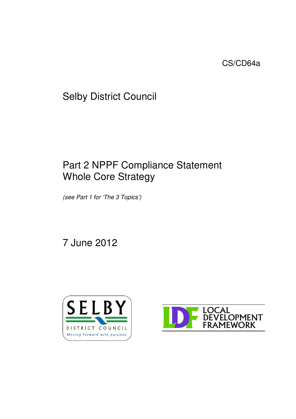CS/CD64a

Selby District Council

# Part 2 NPPF Compliance Statement Whole Core Strategy

*(see Part 1 for 'The 3 Topics')*

7 June 2012



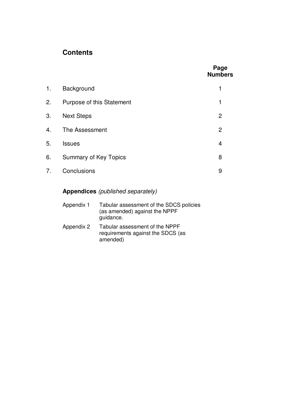# **Contents**

|    |                           | Page<br><b>Numbers</b> |
|----|---------------------------|------------------------|
| 1. | Background                | 1                      |
| 2. | Purpose of this Statement | 1                      |
| 3. | <b>Next Steps</b>         | 2                      |
| 4. | The Assessment            | $\overline{2}$         |
| 5. | <b>Issues</b>             | $\overline{4}$         |
| 6. | Summary of Key Topics     | 8                      |
| 7. | Conclusions               | 9                      |

# **Appendices** *(published separately)*

| Appendix 1 | Tabular assessment of the SDCS policies<br>(as amended) against the NPPF<br>guidance. |
|------------|---------------------------------------------------------------------------------------|
| Appendix 2 | Tabular assessment of the NPPF<br>requirements against the SDCS (as<br>amended)       |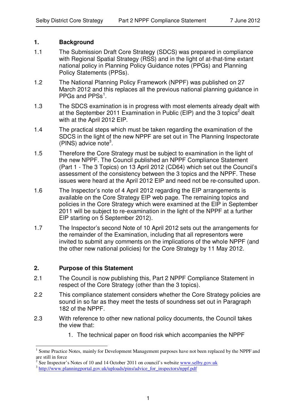#### **1. Background**

- 1.1 The Submission Draft Core Strategy (SDCS) was prepared in compliance with Regional Spatial Strategy (RSS) and in the light of at-that-time extant national policy in Planning Policy Guidance notes (PPGs) and Planning Policy Statements (PPSs).
- 1.2 The National Planning Policy Framework (NPPF) was published on 27 March 2012 and this replaces all the previous national planning guidance in PPGs and PPSs<sup>1</sup>.
- 1.3 The SDCS examination is in progress with most elements already dealt with at the September 2011 Examination in Public (EIP) and the 3 topics<sup>2</sup> dealt with at the April 2012 EIP.
- 1.4 The practical steps which must be taken regarding the examination of the SDCS in the light of the new NPPF are set out in The Planning Inspectorate (PINS) advice note 3 .
- 1.5 Therefore the Core Strategy must be subject to examination in the light of the new NPPF. The Council published an NPPF Compliance Statement (Part 1 - The 3 Topics) on 13 April 2012 (CD64) which set out the Council's assessment of the consistency between the 3 topics and the NPPF. These issues were heard at the April 2012 EIP and need not be re-consulted upon.
- 1.6 The Inspector's note of 4 April 2012 regarding the EIP arrangements is available on the Core Strategy EIP web page. The remaining topics and policies in the Core Strategy which were examined at the EIP in September 2011 will be subject to re-examination in the light of the NPPF at a further EIP starting on 5 September 2012).
- 1.7 The Inspector's second Note of 10 April 2012 sets out the arrangements for the remainder of the Examination, including that all representors were invited to submit any comments on the implications of the whole NPPF (and the other new national policies) for the Core Strategy by 11 May 2012.

#### **2. Purpose of this Statement**

- 2.1 The Council is now publishing this, Part 2 NPPF Compliance Statement in respect of the Core Strategy (other than the 3 topics).
- 2.2 This compliance statement considers whether the Core Strategy policies are sound in so far as they meet the tests of soundness set out in Paragraph 182 of the NPPF.
- 2.3 With reference to other new national policy documents, the Council takes the view that:
	- 1. The technical paper on flood risk which accompanies the NPPF

<sup>1</sup> Some Practice Notes, mainly for Development Management purposes have not been replaced by the NPPF and are still in force

<sup>2</sup> See Inspector's Notes of 10 and 14 October 2011 on council's website www.selby.gov.uk

<sup>&</sup>lt;sup>3</sup> http://www.planningportal.gov.uk/uploads/pins/advice\_for\_inspectors/nppf.pdf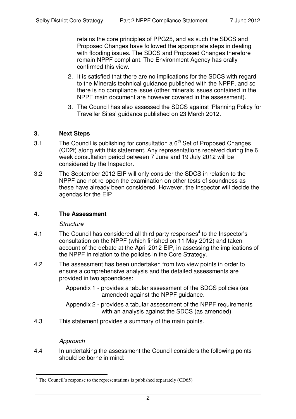retains the core principles of PPG25, and as such the SDCS and Proposed Changes have followed the appropriate steps in dealing with flooding issues. The SDCS and Proposed Changes therefore remain NPPF compliant. The Environment Agency has orally confirmed this view.

- 2. It is satisfied that there are no implications for the SDCS with regard to the Minerals technical guidance published with the NPPF, and so there is no compliance issue (other minerals issues contained in the NPPF main document are however covered in the assessment).
- 3. The Council has also assessed the SDCS against 'Planning Policy for Traveller Sites' guidance published on 23 March 2012.

#### **3. Next Steps**

- 3.1 The Council is publishing for consultation a  $6<sup>th</sup>$  Set of Proposed Changes (CD2f) along with this statement. Any representations received during the 6 week consultation period between 7 June and 19 July 2012 will be considered by the Inspector.
- 3.2 The September 2012 EIP will only consider the SDCS in relation to the NPPF and not re-open the examination on other tests of soundness as these have already been considered. However, the Inspector will decide the agendas for the EIP

#### **4. The Assessment**

#### *Structure*

- 4.1 The Council has considered all third party responses<sup>4</sup> to the Inspector's consultation on the NPPF (which finished on 11 May 2012) and taken account of the debate at the April 2012 EIP, in assessing the implications of the NPPF in relation to the policies in the Core Strategy.
- 4.2 The assessment has been undertaken from two view points in order to ensure a comprehensive analysis and the detailed assessments are provided in two appendices:
	- Appendix 1 provides a tabular assessment of the SDCS policies (as amended) against the NPPF guidance.
	- Appendix 2 provides a tabular assessment of the NPPF requirements with an analysis against the SDCS (as amended)
- 4.3 This statement provides a summary of the main points.

# *Approach*

4.4 In undertaking the assessment the Council considers the following points should be borne in mind:

 $4$  The Council's response to the representations is published separately (CD65)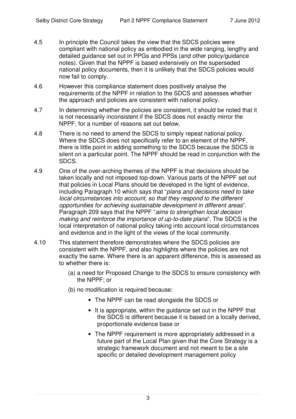- 4.5 In principle the Council takes the view that the SDCS policies were compliant with national policy as embodied in the wide ranging, lengthy and detailed guidance set out in PPGs and PPSs (and other policy/guidance notes). Given that the NPPF is based extensively on the superseded national policy documents, then it is unlikely that the SDCS policies would now fail to comply.
- 4.6 However this compliance statement does positively analyse the requirements of the NPPF in relation to the SDCS and assesses whether the approach and policies are consistent with national policy.
- 4.7 In determining whether the policies are consistent, it should be noted that it is not necessarily inconsistent if the SDCS does not exactly mirror the NPPF, for a number of reasons set out below.
- 4.8 There is no need to amend the SDCS to simply repeat national policy. Where the SDCS does not specifically refer to an element of the NPPF, there is little point in adding something to the SDCS because the SDCS is silent on a particular point. The NPPF should be read in conjunction with the SDCS.
- 4.9 One of the over-arching themes of the NPPF is that decisions should be taken locally and not imposed top-down. Various parts of the NPPF set out that policies in Local Plans should be developed in the light of evidence, including Paragraph 10 which says that "*plans and decisions need to take local circumstances into account, so that they respond to the different opportunities for achieving sustainable development in different areas*". Paragraph 209 says that the NPPF "*aims to strengthen local decision making and reinforce the importance of up-to-date plans*". The SDCS is the local interpretation of national policy taking into account local circumstances and evidence and in the light of the views of the local community.
- 4.10 This statement therefore demonstrates where the SDCS policies are consistent with the NPPF, and also highlights where the policies are not exactly the same. Where there is an apparent difference, this is assessed as to whether there is:
	- (a) a need for Proposed Change to the SDCS to ensure consistency with the NPPF; or
	- (b) no modification is required because:
		- The NPPF can be read alongside the SDCS or
		- It is appropriate, within the guidance set out in the NPPF that the SDCS is different because it is based on a locally derived, proportionate evidence base or
		- The NPPF requirement is more appropriately addressed in a future part of the Local Plan given that the Core Strategy is a strategic framework document and not meant to be a site specific or detailed development management policy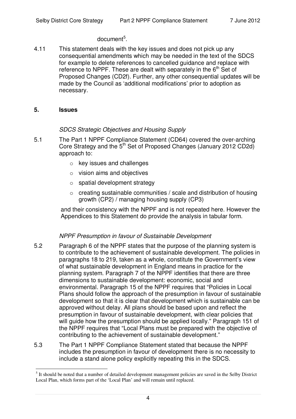# document<sup>5</sup>.

4.11 This statement deals with the key issues and does not pick up any consequential amendments which may be needed in the text of the SDCS for example to delete references to cancelled guidance and replace with reference to NPPF. These are dealt with separately in the  $6<sup>th</sup>$  Set of Proposed Changes (CD2f). Further, any other consequential updates will be made by the Council as 'additional modifications' prior to adoption as necessary.

#### **5. Issues**

# *SDCS Strategic Objectives and Housing Supply*

- 5.1 The Part 1 NPPF Compliance Statement (CD64) covered the over-arching Core Strategy and the  $5<sup>th</sup>$  Set of Proposed Changes (January 2012 CD2d) approach to:
	- o key issues and challenges
	- o vision aims and objectives
	- $\circ$  spatial development strategy
	- $\circ$  creating sustainable communities / scale and distribution of housing growth (CP2) / managing housing supply (CP3)

and their consistency with the NPPF and is not repeated here. However the Appendices to this Statement do provide the analysis in tabular form.

#### *NPPF Presumption in favour of Sustainable Development*

- 5.2 Paragraph 6 of the NPPF states that the purpose of the planning system is to contribute to the achievement of sustainable development. The policies in paragraphs 18 to 219, taken as a whole, constitute the Government's view of what sustainable development in England means in practice for the planning system. Paragraph 7 of the NPPF identifies that there are three dimensions to sustainable development: economic, social and environmental. Paragraph 15 of the NPPF requires that "Policies in Local Plans should follow the approach of the presumption in favour of sustainable development so that it is clear that development which is sustainable can be approved without delay. All plans should be based upon and reflect the presumption in favour of sustainable development, with clear policies that will guide how the presumption should be applied locally." Paragraph 151 of the NPPF requires that "Local Plans must be prepared with the objective of contributing to the achievement of sustainable development."
- 5.3 The Part 1 NPPF Compliance Statement stated that because the NPPF includes the presumption in favour of development there is no necessity to include a stand alone policy explicitly repeating this in the SDCS.

<sup>5</sup> It should be noted that a number of detailed development management policies are saved in the Selby District Local Plan, which forms part of the 'Local Plan' and will remain until replaced.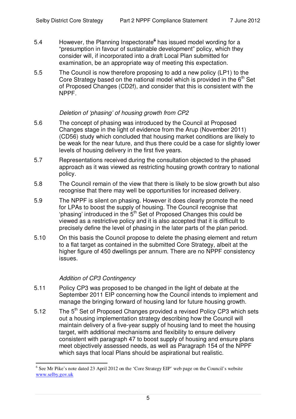- 5.4 However, the Planning Inspectorate<sup>e</sup> has issued model wording for a "presumption in favour of sustainable development" policy, which they consider will, if incorporated into a draft Local Plan submitted for examination, be an appropriate way of meeting this expectation.
- 5.5 The Council is now therefore proposing to add a new policy (LP1) to the Core Strategy based on the national model which is provided in the 6<sup>th</sup> Set of Proposed Changes (CD2f), and consider that this is consistent with the NPPF.

#### *Deletion of 'phasing' of housing growth from CP2*

- 5.6 The concept of phasing was introduced by the Council at Proposed Changes stage in the light of evidence from the Arup (November 2011) (CD56) study which concluded that housing market conditions are likely to be weak for the near future, and thus there could be a case for slightly lower levels of housing delivery in the first five years.
- 5.7 Representations received during the consultation objected to the phased approach as it was viewed as restricting housing growth contrary to national policy.
- 5.8 The Council remain of the view that there is likely to be slow growth but also recognise that there may well be opportunities for increased delivery.
- 5.9 The NPPF is silent on phasing. However it does clearly promote the need for LPAs to boost the supply of housing. The Council recognise that 'phasing' introduced in the 5<sup>th</sup> Set of Proposed Changes this could be viewed as a restrictive policy and it is also accepted that it is difficult to precisely define the level of phasing in the later parts of the plan period.
- 5.10 On this basis the Council propose to delete the phasing element and return to a flat target as contained in the submitted Core Strategy, albeit at the higher figure of 450 dwellings per annum. There are no NPPF consistency issues.

# *Addition of CP3 Contingency*

- 5.11 Policy CP3 was proposed to be changed in the light of debate at the September 2011 EIP concerning how the Council intends to implement and manage the bringing forward of housing land for future housing growth.
- 5.12 The 5<sup>th</sup> Set of Proposed Changes provided a revised Policy CP3 which sets out a housing implementation strategy describing how the Council will maintain delivery of a five-year supply of housing land to meet the housing target, with additional mechanisms and flexibility to ensure delivery consistent with paragraph 47 to boost supply of housing and ensure plans meet objectively assessed needs, as well as Paragraph 154 of the NPPF which says that local Plans should be aspirational but realistic.

<sup>&</sup>lt;sup>6</sup> See Mr Pike's note dated 23 April 2012 on the 'Core Strategy EIP' web page on the Council's website www.selby.gov.uk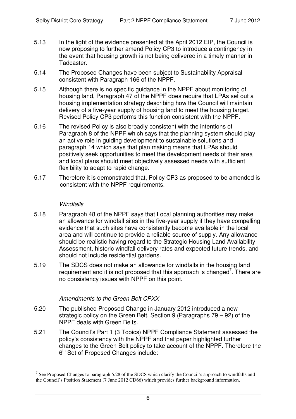- 5.13 In the light of the evidence presented at the April 2012 EIP, the Council is now proposing to further amend Policy CP3 to introduce a contingency in the event that housing growth is not being delivered in a timely manner in Tadcaster.
- 5.14 The Proposed Changes have been subject to Sustainability Appraisal consistent with Paragraph 166 of the NPPF.
- 5.15 Although there is no specific guidance in the NPPF about monitoring of housing land, Paragraph 47 of the NPPF does require that LPAs set out a housing implementation strategy describing how the Council will maintain delivery of a five-year supply of housing land to meet the housing target. Revised Policy CP3 performs this function consistent with the NPPF.
- 5.16 The revised Policy is also broadly consistent with the intentions of Paragraph 8 of the NPPF which says that the planning system should play an active role in guiding development to sustainable solutions and paragraph 14 which says that plan making means that LPAs should positively seek opportunities to meet the development needs of their area and local plans should meet objectively assessed needs with sufficient flexibility to adapt to rapid change.
- 5.17 Therefore it is demonstrated that, Policy CP3 as proposed to be amended is consistent with the NPPF requirements.

# *Windfalls*

- 5.18 Paragraph 48 of the NPPF says that Local planning authorities may make an allowance for windfall sites in the five-year supply if they have compelling evidence that such sites have consistently become available in the local area and will continue to provide a reliable source of supply. Any allowance should be realistic having regard to the Strategic Housing Land Availability Assessment, historic windfall delivery rates and expected future trends, and should not include residential gardens.
- 5.19 The SDCS does not make an allowance for windfalls in the housing land requirement and it is not proposed that this approach is changed<sup>7</sup>. There are no consistency issues with NPPF on this point.

# *Amendments to the Green Belt CPXX*

- 5.20 The published Proposed Change in January 2012 introduced a new strategic policy on the Green Belt. Section 9 (Paragraphs 79 – 92) of the NPPF deals with Green Belts.
- 5.21 The Council's Part 1 (3 Topics) NPPF Compliance Statement assessed the policy's consistency with the NPPF and that paper highlighted further changes to the Green Belt policy to take account of the NPPF. Therefore the 6<sup>th</sup> Set of Proposed Changes include:

<sup>&</sup>lt;sup>7</sup> See Proposed Changes to paragraph 5.28 of the SDCS which clarify the Council's approach to windfalls and the Council's Position Statement (7 June 2012 CD66) which provides further background information.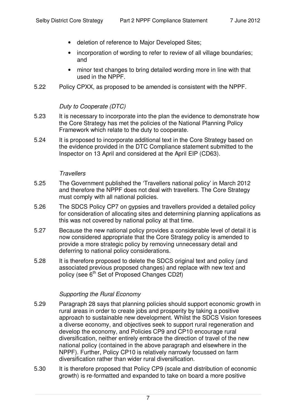- deletion of reference to Major Developed Sites;
- incorporation of wording to refer to review of all village boundaries; and
- minor text changes to bring detailed wording more in line with that used in the NPPF.
- 5.22 Policy CPXX, as proposed to be amended is consistent with the NPPF.

#### *Duty to Cooperate (DTC)*

- 5.23 It is necessary to incorporate into the plan the evidence to demonstrate how the Core Strategy has met the policies of the National Planning Policy Framework which relate to the duty to cooperate.
- 5.24 It is proposed to incorporate additional text in the Core Strategy based on the evidence provided in the DTC Compliance statement submitted to the Inspector on 13 April and considered at the April EIP (CD63).

#### *Travellers*

- 5.25 The Government published the 'Travellers national policy' in March 2012 and therefore the NPPF does not deal with travellers. The Core Strategy must comply with all national policies.
- 5.26 The SDCS Policy CP7 on gypsies and travellers provided a detailed policy for consideration of allocating sites and determining planning applications as this was not covered by national policy at that time.
- 5.27 Because the new national policy provides a considerable level of detail it is now considered appropriate that the Core Strategy policy is amended to provide a more strategic policy by removing unnecessary detail and deferring to national policy considerations.
- 5.28 It is therefore proposed to delete the SDCS original text and policy (and associated previous proposed changes) and replace with new text and policy (see 6<sup>th</sup> Set of Proposed Changes CD2f)

# *Supporting the Rural Economy*

- 5.29 Paragraph 28 says that planning policies should support economic growth in rural areas in order to create jobs and prosperity by taking a positive approach to sustainable new development. Whilst the SDCS Vision foresees a diverse economy, and objectives seek to support rural regeneration and develop the economy, and Policies CP9 and CP10 encourage rural diversification, neither entirely embrace the direction of travel of the new national policy (contained in the above paragraph and elsewhere in the NPPF). Further, Policy CP10 is relatively narrowly focussed on farm diversification rather than wider rural diversification.
- 5.30 It is therefore proposed that Policy CP9 (scale and distribution of economic growth) is re-formatted and expanded to take on board a more positive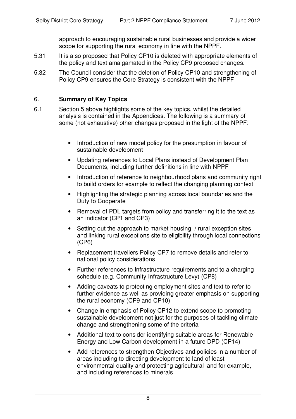approach to encouraging sustainable rural businesses and provide a wider scope for supporting the rural economy in line with the NPPF.

- 5.31 It is also proposed that Policy CP10 is deleted with appropriate elements of the policy and text amalgamated in the Policy CP9 proposed changes.
- 5.32 The Council consider that the deletion of Policy CP10 and strengthening of Policy CP9 ensures the Core Strategy is consistent with the NPPF

# 6. **Summary of Key Topics**

- 6.1 Section 5 above highlights some of the key topics, whilst the detailed analysis is contained in the Appendices. The following is a summary of some (not exhaustive) other changes proposed in the light of the NPPF:
	- Introduction of new model policy for the presumption in favour of sustainable development
	- Updating references to Local Plans instead of Development Plan Documents, including further definitions in line with NPPF
	- Introduction of reference to neighbourhood plans and community right to build orders for example to reflect the changing planning context
	- Highlighting the strategic planning across local boundaries and the Duty to Cooperate
	- Removal of PDL targets from policy and transferring it to the text as an indicator (CP1 and CP3)
	- Setting out the approach to market housing / rural exception sites and linking rural exceptions site to eligibility through local connections (CP6)
	- Replacement travellers Policy CP7 to remove details and refer to national policy considerations
	- Further references to Infrastructure requirements and to a charging schedule (e.g. Community Infrastructure Levy) (CP8)
	- Adding caveats to protecting employment sites and text to refer to further evidence as well as providing greater emphasis on supporting the rural economy (CP9 and CP10)
	- Change in emphasis of Policy CP12 to extend scope to promoting sustainable development not just for the purposes of tackling climate change and strengthening some of the criteria
	- Additional text to consider identifying suitable areas for Renewable Energy and Low Carbon development in a future DPD (CP14)
	- Add references to strengthen Objectives and policies in a number of areas including to directing development to land of least environmental quality and protecting agricultural land for example, and including references to minerals